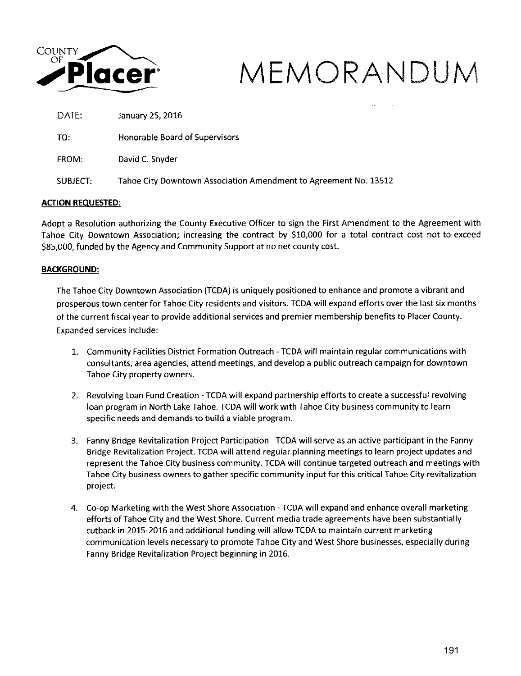

# Placer<sup>•</sup> MEMORANDUM <sub>DATE:</sub>  $\frac{1}{2}$ Placer<sup>•</sup>

January 25, 2016

TO: Honorable Board of Supervisors

FROM: David C. Snyder

SUBJECT: Tahoe City Downtown Association Amendment to Agreement No. 13512

### **ACTION REQUESTED:**

Adopt a Resolution authorizing the County Executive Officer to sign the First Amendment to the Agreement with Tahoe City Downtown Association; increasing the contract by \$10,000 for a total contract cost not-to-exceed \$85,000, funded by the Agency and Community Support at no net county cost.

### **BACKGROUND:**

The Tahoe City Downtown Association (TCDA) is uniquely positioned to enhance and promote a vibrant and prosperous town center for Tahoe City residents and visitors. TCDA will expand efforts over the last six months of the current fiscal year to provide additional services and premier membership benefits to Placer County. Expanded services include:

- 1. Community Facilities District Formation Outreach- TCDA will maintain regular communications with consultants, area agencies, attend meetings, and develop a public outreach campaign for downtown Tahoe City property owners.
- 2. Revolving Loan Fund Creation- TCDA will expand partnership efforts to create a successful revolving loan program in North Lake Tahoe. TCDA will work with Tahoe City business community to learn specific needs and demands to build a viable program.
- 3. Fanny Bridge Revitalization Project Participation TCDA will serve as an active participant in the Fanny Bridge Revitalization Project. TCDA will attend regular planning meetings to learn project updates and represent the Tahoe City business community. TCDA will continue targeted outreach and meetings with Tahoe City business owners to gather specific community input for this critical Tahoe City revitalization project.
- 4. Co-op Marketing with the West Shore Association- TCDA will expand and enhance overall marketing efforts of Tahoe City and the West Shore. Current media trade agreements have been substantially cutback in 2015-2016 and additional funding will allow TCDA to maintain current marketing communication levels necessary to promote Tahoe City and West Shore businesses, especially during Fanny Bridge Revitalization Project beginning in 2016.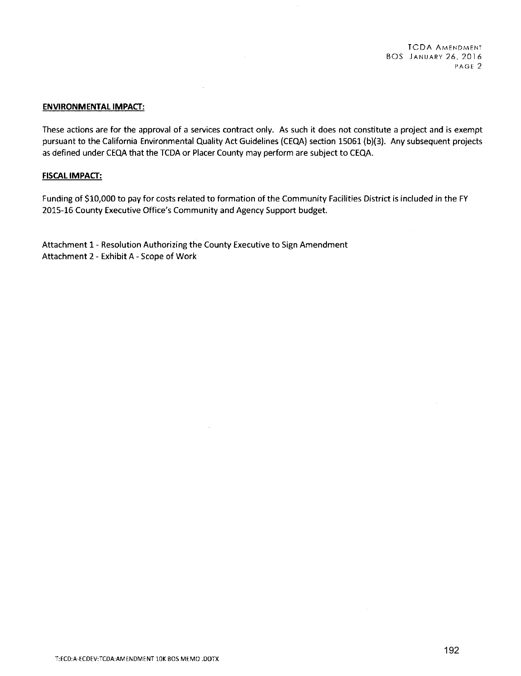TCDA AMENDMENT BOS JANUARY 26, 2016 **PAGE 2** 

### **ENVIRONMENTAL IMPACT:**

These actions are for the approval of a services contract only. As such it does not constitute a project and is exempt pursuant to the California Environmental Quality Act Guidelines (CEQA) section 15061 (b)(3). Any subsequent projects as defined under CEQA that the TCDA or Placer County may perform are subject to CEQA.

 $\sim 10^7$ 

### **FISCAL IMPACT:**

Funding of \$10,000 to pay for costs related to formation of the Community Facilities District is included in the FY 2015-16 County Executive Office's Community and Agency Support budget.

Attachment 1- Resolution Authorizing the County Executive to Sign Amendment Attachment 2- Exhibit A- Scope of Work

 $\sim 10^{11}$  m  $^{-1}$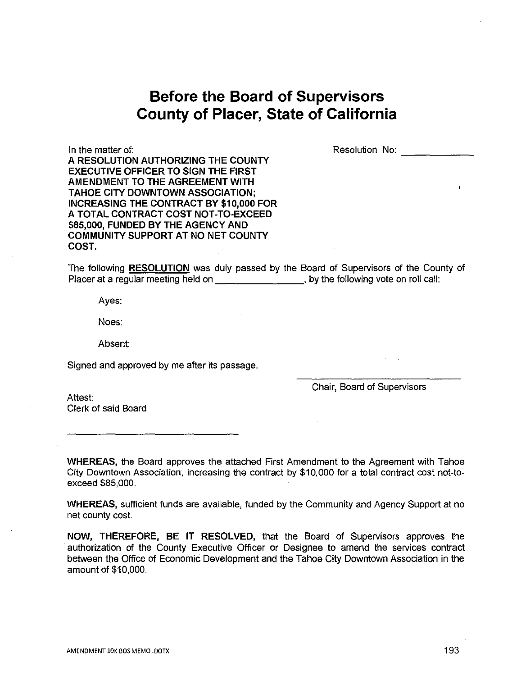# **Before the Board of Supervisors County of Placer, State of California**

In the matter of:

Resolution No:

A RESOLUTION AUTHORIZING THE COUNTY EXECUTIVE OFFICER TO SIGN THE FIRST AMENDMENT TO THE AGREEMENT WITH TAHOE CITY DOWNTOWN ASSOCIATION; INCREASING THE CONTRACT BY \$10,000 FOR A TOTAL CONTRACT COST NOT-TO-EXCEED \$85,000, FUNDED BY THE AGENCY AND COMMUNITY SUPPORT AT NO NET COUNTY COST.

The following RESOLUTION was duly passed by the Board of Supervisors of the County of Placer at a regular meeting held on \_\_\_\_\_\_\_\_\_\_\_\_\_\_\_\_\_\_, by the following vote on roll call:

Ayes:

Noes:

Absent:

Signed and approved by me after its passage.

Chair, Board of Supervisors

Attest: Clerk of said Board

WHEREAS, the Board approves the attached First Amendment to the Agreement with Tahoe City Downtown Association, increasing the contract by \$10,000 for a total contract cost not-toexceed \$85,000.

WHEREAS, sufficient funds are available, funded by the Community and Agency Support at no net county cost.

NOW, THEREFORE, BE IT RESOLVED, that the Board of Supervisors approves the authorization of the County Executive Officer or Designee to amend the services contract between the Office of Economic Development and the Tahoe City Downtown Association in the amount of \$10,000.